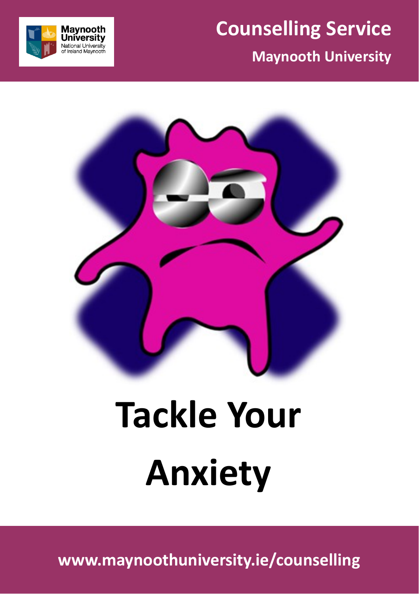

### **Maynooth University**





# **Tackle Your Anxiety**

**www.maynoothuniversity.ie/counselling**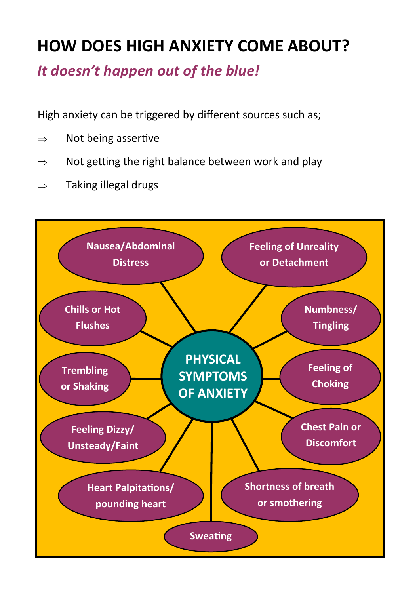### **HOW DOES HIGH ANXIETY COME ABOUT?**

*It doesn't happen out of the blue!*

High anxiety can be triggered by different sources such as;

- $\Rightarrow$  Not being assertive
- $\Rightarrow$  Not getting the right balance between work and play
- $\Rightarrow$  Taking illegal drugs

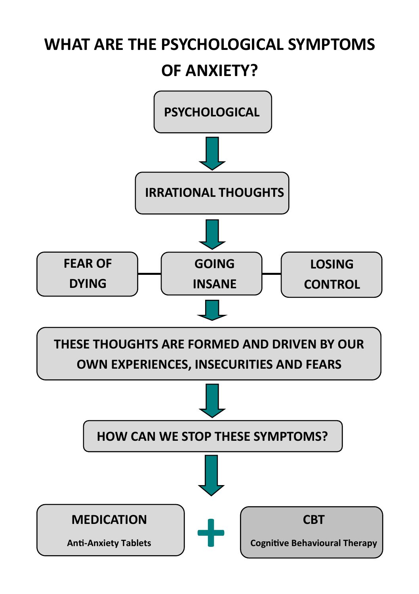### **WHAT ARE THE PSYCHOLOGICAL SYMPTOMS OF ANXIETY?**

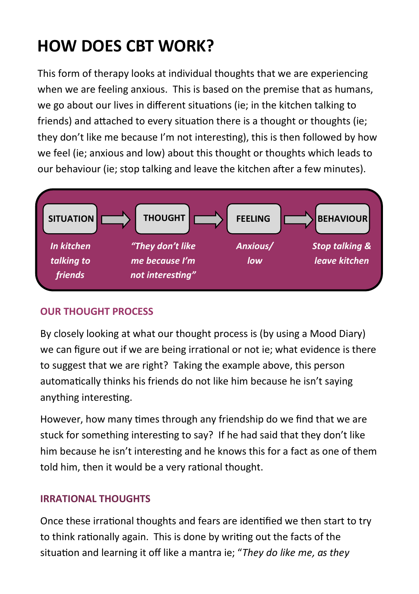### **HOW DOES CBT WORK?**

This form of therapy looks at individual thoughts that we are experiencing when we are feeling anxious. This is based on the premise that as humans, we go about our lives in different situations (ie; in the kitchen talking to friends) and attached to every situation there is a thought or thoughts (ie; they don't like me because I'm not interesting), this is then followed by how we feel (ie; anxious and low) about this thought or thoughts which leads to our behaviour (ie; stop talking and leave the kitchen after a few minutes).



### **OUR THOUGHT PROCESS**

By closely looking at what our thought process is (by using a Mood Diary) we can figure out if we are being irrational or not ie; what evidence is there to suggest that we are right? Taking the example above, this person automatically thinks his friends do not like him because he isn't saying anything interesting.

However, how many times through any friendship do we find that we are stuck for something interesting to say? If he had said that they don't like him because he isn't interesting and he knows this for a fact as one of them told him, then it would be a very rational thought.

### **IRRATIONAL THOUGHTS**

Once these irrational thoughts and fears are identified we then start to try to think rationally again. This is done by writing out the facts of the situation and learning it off like a mantra ie; "*They do like me, as they*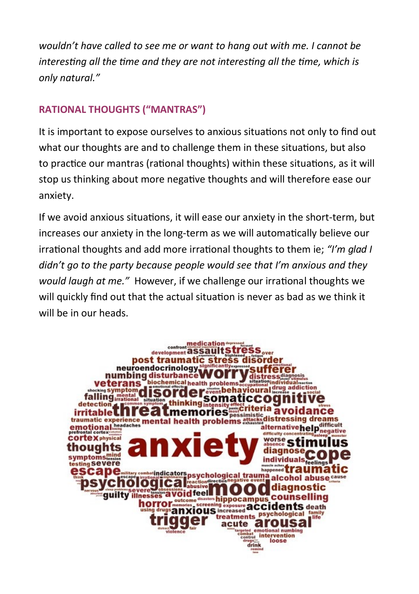*wouldn't have called to see me or want to hang out with me. I cannot be interesting all the time and they are not interesting all the time, which is only natural."*

### **RATIONAL THOUGHTS ("MANTRAS")**

It is important to expose ourselves to anxious situations not only to find out what our thoughts are and to challenge them in these situations, but also to practice our mantras (rational thoughts) within these situations, as it will stop us thinking about more negative thoughts and will therefore ease our anxiety.

If we avoid anxious situations, it will ease our anxiety in the short-term, but increases our anxiety in the long-term as we will automatically believe our irrational thoughts and add more irrational thoughts to them ie; *"I'm glad I didn't go to the party because people would see that I'm anxious and they would laugh at me."* However, if we challenge our irrational thoughts we will quickly find out that the actual situation is never as bad as we think it will be in our heads.

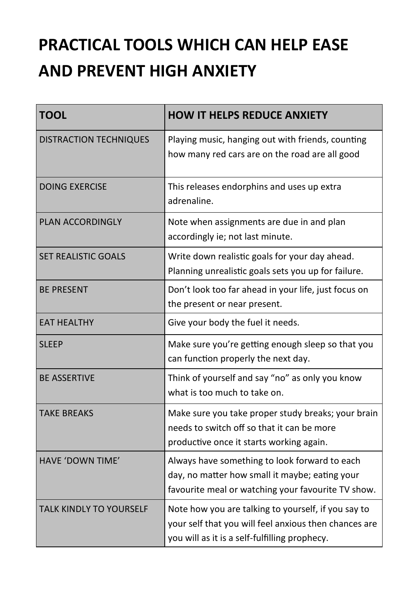### **PRACTICAL TOOLS WHICH CAN HELP EASE AND PREVENT HIGH ANXIETY**

| <b>TOOL</b>                    | <b>HOW IT HELPS REDUCE ANXIETY</b>                                                                                                                            |  |  |
|--------------------------------|---------------------------------------------------------------------------------------------------------------------------------------------------------------|--|--|
| <b>DISTRACTION TECHNIQUES</b>  | Playing music, hanging out with friends, counting<br>how many red cars are on the road are all good                                                           |  |  |
| <b>DOING EXERCISE</b>          | This releases endorphins and uses up extra<br>adrenaline.                                                                                                     |  |  |
| <b>PLAN ACCORDINGLY</b>        | Note when assignments are due in and plan<br>accordingly ie; not last minute.                                                                                 |  |  |
| <b>SET REALISTIC GOALS</b>     | Write down realistic goals for your day ahead.<br>Planning unrealistic goals sets you up for failure.                                                         |  |  |
| <b>BE PRESENT</b>              | Don't look too far ahead in your life, just focus on<br>the present or near present.                                                                          |  |  |
| <b>EAT HEALTHY</b>             | Give your body the fuel it needs.                                                                                                                             |  |  |
| <b>SLEEP</b>                   | Make sure you're getting enough sleep so that you<br>can function properly the next day.                                                                      |  |  |
| <b>BE ASSERTIVE</b>            | Think of yourself and say "no" as only you know<br>what is too much to take on.                                                                               |  |  |
| <b>TAKF BRFAKS</b>             | Make sure you take proper study breaks; your brain<br>needs to switch off so that it can be more<br>productive once it starts working again.                  |  |  |
| HAVE 'DOWN TIME'               | Always have something to look forward to each<br>day, no matter how small it maybe; eating your<br>favourite meal or watching your favourite TV show.         |  |  |
| <b>TALK KINDLY TO YOURSELF</b> | Note how you are talking to yourself, if you say to<br>your self that you will feel anxious then chances are<br>you will as it is a self-fulfilling prophecy. |  |  |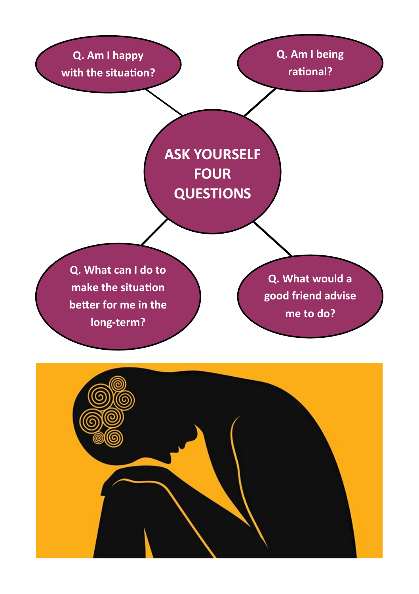**Q. Am I happy with the situation?** **Q. Am I being rational?**

**ASK YOURSELF FOUR QUESTIONS**

**Q. What can I do to make the situation better for me in the long-term?**

**Q. What would a good friend advise me to do?**

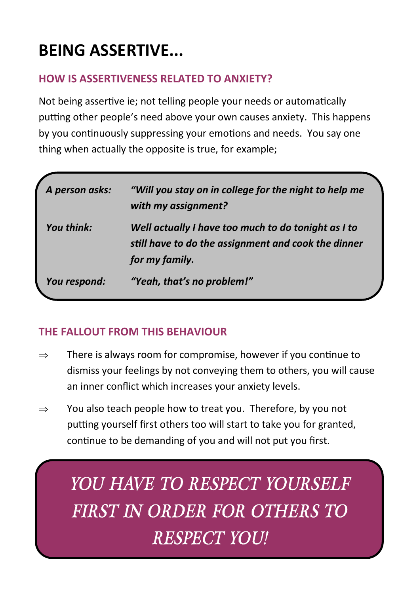### **BEING ASSERTIVE...**

### **HOW IS ASSERTIVENESS RELATED TO ANXIETY?**

Not being assertive ie; not telling people your needs or automatically putting other people's need above your own causes anxiety. This happens by you continuously suppressing your emotions and needs. You say one thing when actually the opposite is true, for example;

| A person asks: | "Will you stay on in college for the night to help me<br>with my assignment?                                                 |  |
|----------------|------------------------------------------------------------------------------------------------------------------------------|--|
| You think:     | Well actually I have too much to do tonight as I to<br>still have to do the assignment and cook the dinner<br>for my family. |  |
| You respond:   | "Yeah, that's no problem!"                                                                                                   |  |

### **THE FALLOUT FROM THIS BEHAVIOUR**

- $\Rightarrow$  There is always room for compromise, however if you continue to dismiss your feelings by not conveying them to others, you will cause an inner conflict which increases your anxiety levels.
- $\Rightarrow$  You also teach people how to treat you. Therefore, by you not putting yourself first others too will start to take you for granted, continue to be demanding of you and will not put you first.

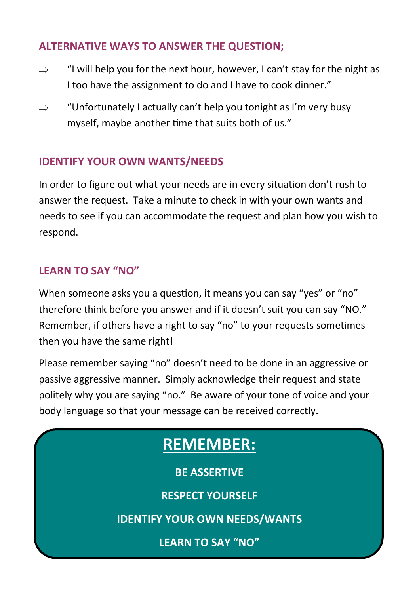### **ALTERNATIVE WAYS TO ANSWER THE QUESTION;**

- $\Rightarrow$  "I will help you for the next hour, however, I can't stay for the night as I too have the assignment to do and I have to cook dinner."
- $\Rightarrow$  "Unfortunately I actually can't help you tonight as I'm very busy myself, maybe another time that suits both of us."

#### **IDENTIFY YOUR OWN WANTS/NEEDS**

In order to figure out what your needs are in every situation don't rush to answer the request. Take a minute to check in with your own wants and needs to see if you can accommodate the request and plan how you wish to respond.

#### **LEARN TO SAY "NO"**

When someone asks you a question, it means you can say "yes" or "no" therefore think before you answer and if it doesn't suit you can say "NO." Remember, if others have a right to say "no" to your requests sometimes then you have the same right!

Please remember saying "no" doesn't need to be done in an aggressive or passive aggressive manner. Simply acknowledge their request and state politely why you are saying "no." Be aware of your tone of voice and your body language so that your message can be received correctly.

### **REMEMBER:**

**BE ASSERTIVE**

**RESPECT YOURSELF**

**IDENTIFY YOUR OWN NEEDS/WANTS**

**LEARN TO SAY "NO"**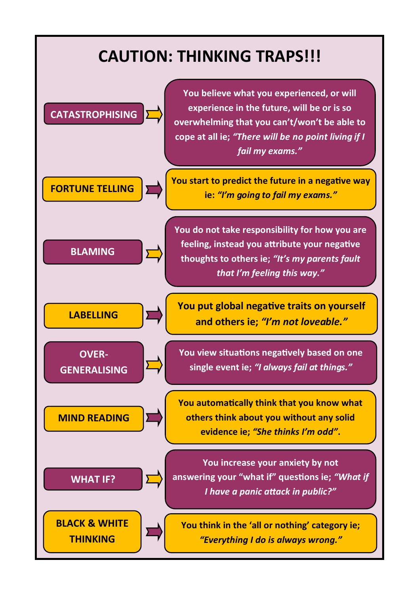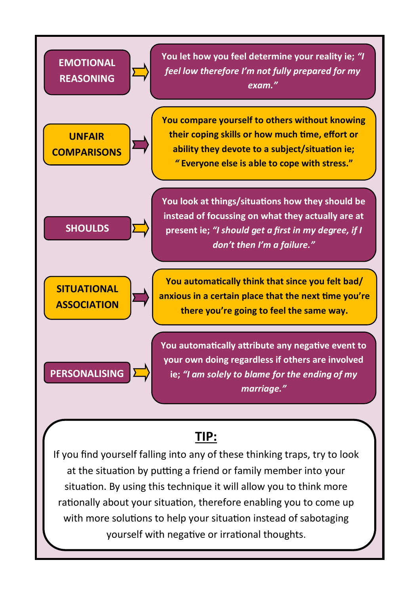

### **TIP:**

If you find yourself falling into any of these thinking traps, try to look at the situation by putting a friend or family member into your situation. By using this technique it will allow you to think more rationally about your situation, therefore enabling you to come up with more solutions to help your situation instead of sabotaging yourself with negative or irrational thoughts.